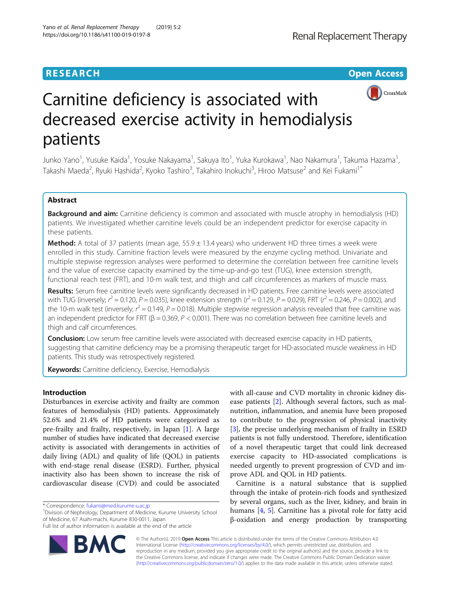

# Carnitine deficiency is associated with decreased exercise activity in hemodialysis patients

Junko Yano<sup>1</sup>, Yusuke Kaida<sup>1</sup>, Yosuke Nakayama<sup>1</sup>, Sakuya Ito<sup>1</sup>, Yuka Kurokawa<sup>1</sup>, Nao Nakamura<sup>1</sup>, Takuma Hazama<sup>1</sup> , Takashi Maeda<sup>2</sup>, Ryuki Hashida<sup>2</sup>, Kyoko Tashiro<sup>3</sup>, Takahiro Inokuchi<sup>3</sup>, Hiroo Matsuse<sup>2</sup> and Kei Fukami<sup>1\*</sup>

# Abstract

Background and aim: Carnitine deficiency is common and associated with muscle atrophy in hemodialysis (HD) patients. We investigated whether carnitine levels could be an independent predictor for exercise capacity in these patients.

**Method:** A total of 37 patients (mean age,  $55.9 \pm 13.4$  years) who underwent HD three times a week were enrolled in this study. Carnitine fraction levels were measured by the enzyme cycling method. Univariate and multiple stepwise regression analyses were performed to determine the correlation between free carnitine levels and the value of exercise capacity examined by the time-up-and-go test (TUG), knee extension strength, functional reach test (FRT), and 10-m walk test, and thigh and calf circumferences as markers of muscle mass.

Results: Serum free carnitine levels were significantly decreased in HD patients. Free carnitine levels were associated with TUG (inversely;  $r^2 = 0.120$ ,  $P = 0.035$ ), knee extension strength ( $r^2 = 0.129$ ,  $P = 0.029$ ), FRT ( $r^2 = 0.246$ ,  $P = 0.002$ ), and the 10-m walk test (inversely;  $r^2$  = 0.149, P = 0.018). Multiple stepwise regression analysis revealed that free carnitine was an independent predictor for FRT ( $\beta$  = 0.369, P < 0.001). There was no correlation between free carnitine levels and thigh and calf circumferences.

**Conclusion:** Low serum free carnitine levels were associated with decreased exercise capacity in HD patients, suggesting that carnitine deficiency may be a promising therapeutic target for HD-associated muscle weakness in HD patients. This study was retrospectively registered.

Keywords: Carnitine deficiency, Exercise, Hemodialysis

# Introduction

Disturbances in exercise activity and frailty are common features of hemodialysis (HD) patients. Approximately 52.6% and 21.4% of HD patients were categorized as pre-frailty and frailty, respectively, in Japan [[1](#page-5-0)]. A large number of studies have indicated that decreased exercise activity is associated with derangements in activities of daily living (ADL) and quality of life (QOL) in patients with end-stage renal disease (ESRD). Further, physical inactivity also has been shown to increase the risk of cardiovascular disease (CVD) and could be associated

Division of Nephrology, Department of Medicine, Kurume University School of Medicine, 67 Asahi-machi, Kurume 830-0011, Japan

Full list of author information is available at the end of the article



with all-cause and CVD mortality in chronic kidney disease patients [[2](#page-5-0)]. Although several factors, such as malnutrition, inflammation, and anemia have been proposed to contribute to the progression of physical inactivity [[3\]](#page-5-0), the precise underlying mechanism of frailty in ESRD patients is not fully understood. Therefore, identification of a novel therapeutic target that could link decreased exercise capacity to HD-associated complications is needed urgently to prevent progression of CVD and improve ADL and QOL in HD patients.

Carnitine is a natural substance that is supplied through the intake of protein-rich foods and synthesized by several organs, such as the liver, kidney, and brain in humans [[4,](#page-5-0) [5](#page-5-0)]. Carnitine has a pivotal role for fatty acid β-oxidation and energy production by transporting

© The Author(s). 2019 Open Access This article is distributed under the terms of the Creative Commons Attribution 4.0 International License [\(http://creativecommons.org/licenses/by/4.0/](http://creativecommons.org/licenses/by/4.0/)), which permits unrestricted use, distribution, and reproduction in any medium, provided you give appropriate credit to the original author(s) and the source, provide a link to the Creative Commons license, and indicate if changes were made. The Creative Commons Public Domain Dedication waiver [\(http://creativecommons.org/publicdomain/zero/1.0/](http://creativecommons.org/publicdomain/zero/1.0/)) applies to the data made available in this article, unless otherwise stated.

<sup>\*</sup> Correspondence: [fukami@med.kurume-u.ac.jp](mailto:fukami@med.kurume-u.ac.jp) <sup>1</sup>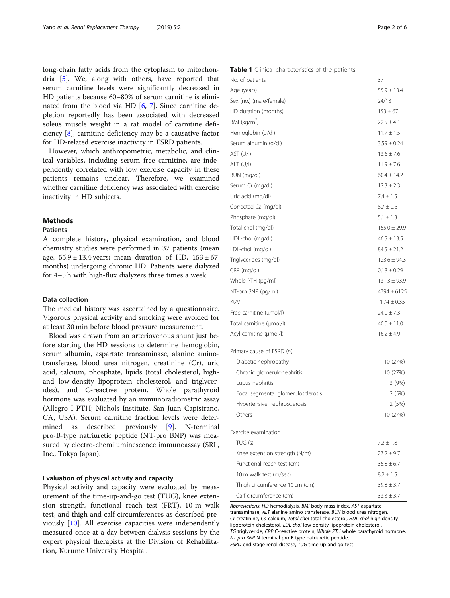<span id="page-1-0"></span>long-chain fatty acids from the cytoplasm to mitochondria [\[5\]](#page-5-0). We, along with others, have reported that serum carnitine levels were significantly decreased in HD patients because 60–80% of serum carnitine is eliminated from the blood via HD [\[6](#page-5-0), [7\]](#page-5-0). Since carnitine depletion reportedly has been associated with decreased soleus muscle weight in a rat model of carnitine deficiency [[8\]](#page-5-0), carnitine deficiency may be a causative factor for HD-related exercise inactivity in ESRD patients.

However, which anthropometric, metabolic, and clinical variables, including serum free carnitine, are independently correlated with low exercise capacity in these patients remains unclear. Therefore, we examined whether carnitine deficiency was associated with exercise inactivity in HD subjects.

#### Methods

## **Patients**

A complete history, physical examination, and blood chemistry studies were performed in 37 patients (mean age,  $55.9 \pm 13.4$  years; mean duration of HD,  $153 \pm 67$ months) undergoing chronic HD. Patients were dialyzed for 4–5 h with high-flux dialyzers three times a week.

## Data collection

The medical history was ascertained by a questionnaire. Vigorous physical activity and smoking were avoided for at least 30 min before blood pressure measurement.

Blood was drawn from an arteriovenous shunt just before starting the HD sessions to determine hemoglobin, serum albumin, aspartate transaminase, alanine aminotransferase, blood urea nitrogen, creatinine (Cr), uric acid, calcium, phosphate, lipids (total cholesterol, highand low-density lipoprotein cholesterol, and triglycerides), and C-reactive protein. Whole parathyroid hormone was evaluated by an immunoradiometric assay (Allegro I-PTH; Nichols Institute, San Juan Capistrano, CA, USA). Serum carnitine fraction levels were determined as described previously [[9\]](#page-5-0). N-terminal pro-B-type natriuretic peptide (NT-pro BNP) was measured by electro-chemiluminescence immunoassay (SRL, Inc., Tokyo Japan).

## Evaluation of physical activity and capacity

Physical activity and capacity were evaluated by measurement of the time-up-and-go test (TUG), knee extension strength, functional reach test (FRT), 10-m walk test, and thigh and calf circumferences as described previously [\[10](#page-5-0)]. All exercise capacities were independently measured once at a day between dialysis sessions by the expert physical therapists at the Division of Rehabilitation, Kurume University Hospital.

#### Table 1 Clinical characteristics of the patients

| No. of patients                    | 37               |
|------------------------------------|------------------|
| Age (years)                        | $55.9 \pm 13.4$  |
| Sex (no.) (male/female)            | 24/13            |
| HD duration (months)               | $153 \pm 67$     |
| BMI ( $\text{kg/m}^2$ )            | $22.5 \pm 4.1$   |
| Hemoglobin (g/dl)                  | $11.7 \pm 1.5$   |
| Serum albumin (g/dl)               | $3.59 \pm 0.24$  |
| AST (U/l)                          | $13.6 \pm 7.6$   |
| ALT (U/I)                          | $11.9 \pm 7.6$   |
| BUN (mg/dl)                        | $60.4 \pm 14.2$  |
| Serum Cr (mg/dl)                   | $12.3 \pm 2.3$   |
| Uric acid (mg/dl)                  | $7.4 \pm 1.5$    |
| Corrected Ca (mg/dl)               | $8.7 \pm 0.6$    |
| Phosphate (mg/dl)                  | $5.1 \pm 1.3$    |
| Total chol (mg/dl)                 | $155.0 \pm 29.9$ |
| HDL-chol (mg/dl)                   | $46.5 \pm 13.5$  |
| LDL-chol (mg/dl)                   | $84.5 \pm 21.2$  |
| Triglycerides (mg/dl)              | $123.6 \pm 94.3$ |
| CRP (mg/dl)                        | $0.18 \pm 0.29$  |
| Whole-PTH (pg/ml)                  | $131.3 \pm 93.9$ |
| NT-pro BNP (pg/ml)                 | $4794 \pm 6125$  |
| Kt/V                               | $1.74 \pm 0.35$  |
| Free carnitine (µmol/l)            | $24.0 \pm 7.3$   |
| Total carnitine (µmol/l)           | $40.0 \pm 11.0$  |
| Acyl carnitine (umol/l)            | $16.2 \pm 4.9$   |
| Primary cause of ESRD (n)          |                  |
| Diabetic nephropathy               | 10 (27%)         |
| Chronic glomerulonephritis         | 10 (27%)         |
| Lupus nephritis                    | 3(9%)            |
| Focal segmental glomerulosclerosis | 2 (5%)           |
| Hypertensive nephrosclerosis       | 2(5%)            |
| Others                             | 10 (27%)         |
| Exercise examination               |                  |
| TUG(s)                             | $7.2 + 1.8$      |
| Knee extension strength (N/m)      | $27.2 \pm 9.7$   |
| Functional reach test (cm)         | $35.8 \pm 6.7$   |
| 10 m walk test (m/sec)             | $8.2 \pm 1.5$    |
| Thigh circumference 10 cm (cm)     | $39.8 \pm 3.7$   |
| Calf circumference (cm)            | $33.3 \pm 3.7$   |

Abbreviations: HD hemodialysis, BMI body mass index, AST aspartate transaminase, ALT alanine amino transferase, BUN blood urea nitrogen, Cr creatinine, Ca calcium, Total chol total cholesterol, HDL-chol high-density lipoprotein cholesterol, LDL-chol low-density lipoprotein cholesterol, TG triglyceride, CRP C-reactive protein, Whole PTH whole parathyroid hormone, NT-pro BNP N-terminal pro B-type natriuretic peptide, ESRD end-stage renal disease, TUG time-up-and-go test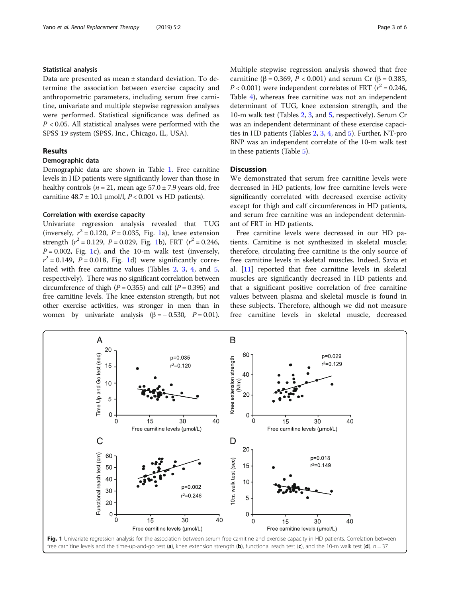## Statistical analysis

Data are presented as mean ± standard deviation. To determine the association between exercise capacity and anthropometric parameters, including serum free carnitine, univariate and multiple stepwise regression analyses were performed. Statistical significance was defined as  $P < 0.05$ . All statistical analyses were performed with the SPSS 19 system (SPSS, Inc., Chicago, IL, USA).

## Results

## Demographic data

Demographic data are shown in Table [1](#page-1-0). Free carnitine levels in HD patients were significantly lower than those in healthy controls ( $n = 21$ , mean age 57.0  $\pm$  7.9 years old, free carnitine  $48.7 \pm 10.1 \,\mathrm{\mu mol/l}$ ,  $P < 0.001$  vs HD patients).

### Correlation with exercise capacity

Univariate regression analysis revealed that TUG (inversely,  $r^2 = 0.120$ ,  $P = 0.035$ , Fig. 1a), knee extension strength  $(r^2 = 0.129, P = 0.029, Fig. 1b)$ , FRT  $(r^2 = 0.246,$  $P = 0.002$ , Fig. 1c), and the 10-m walk test (inversely,  $r^2 = 0.149$ ,  $P = 0.018$ , Fig. 1d) were significantly correlated with free carnitine values (Tables [2](#page-3-0), [3,](#page-3-0) [4](#page-4-0), and [5](#page-4-0), respectively). There was no significant correlation between circumference of thigh ( $P = 0.355$ ) and calf ( $P = 0.395$ ) and free carnitine levels. The knee extension strength, but not other exercise activities, was stronger in men than in women by univariate analysis  $(\beta = -0.530, P = 0.01)$ . Multiple stepwise regression analysis showed that free carnitine (β = 0.369, *P* < 0.001) and serum Cr (β = 0.385,  $P < 0.001$ ) were independent correlates of FRT ( $r^2 = 0.246$ , Table [4](#page-4-0)), whereas free carnitine was not an independent determinant of TUG, knee extension strength, and the 10-m walk test (Tables [2](#page-3-0), [3,](#page-3-0) and [5](#page-4-0), respectively). Serum Cr was an independent determinant of these exercise capacities in HD patients (Tables [2](#page-3-0), [3,](#page-3-0) [4](#page-4-0), and [5\)](#page-4-0). Further, NT-pro BNP was an independent correlate of the 10-m walk test in these patients (Table [5\)](#page-4-0).

## **Discussion**

We demonstrated that serum free carnitine levels were decreased in HD patients, low free carnitine levels were significantly correlated with decreased exercise activity except for thigh and calf circumferences in HD patients, and serum free carnitine was an independent determinant of FRT in HD patients.

Free carnitine levels were decreased in our HD patients. Carnitine is not synthesized in skeletal muscle; therefore, circulating free carnitine is the only source of free carnitine levels in skeletal muscles. Indeed, Savia et al. [[11\]](#page-5-0) reported that free carnitine levels in skeletal muscles are significantly decreased in HD patients and that a significant positive correlation of free carnitine values between plasma and skeletal muscle is found in these subjects. Therefore, although we did not measure free carnitine levels in skeletal muscle, decreased

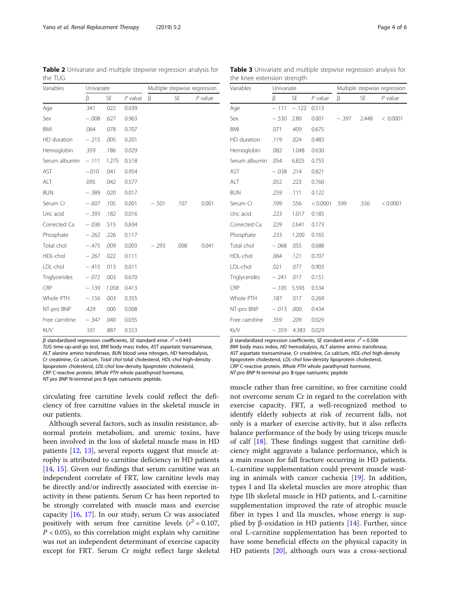$\beta$  standardized regression coefficients, SE standard error.  $r^2$  = 0.443 TUG time-up-and-go test, BMI body mass index, AST aspartate transaminase, ALT alanine amino transferase, BUN blood urea nitrogen, HD hemodialysis, Cr creatinine, Ca calcium, Total chol total cholesterol, HDL-chol high-density lipoprotein cholesterol, LDL-chol low-density lipoprotein cholesterol, CRP C-reactive protein, Whole PTH whole parathyroid hormone, NT-pro BNP N-terminal pro B-type natriuretic peptide,

circulating free carnitine levels could reflect the deficiency of free carnitine values in the skeletal muscle in our patients.

Although several factors, such as insulin resistance, abnormal protein metabolism, and uremic toxins, have been involved in the loss of skeletal muscle mass in HD patients [[12,](#page-5-0) [13](#page-5-0)], several reports suggest that muscle atrophy is attributed to carnitine deficiency in HD patients [[14,](#page-5-0) [15](#page-5-0)]. Given our findings that serum carnitine was an independent correlate of FRT, low carnitine levels may be directly and/or indirectly associated with exercise inactivity in these patients. Serum Cr has been reported to be strongly correlated with muscle mass and exercise capacity [\[16](#page-5-0), [17\]](#page-5-0). In our study, serum Cr was associated positively with serum free carnitine levels  $(r^2 = 0.107,$  $P < 0.05$ ), so this correlation might explain why carnitine was not an independent determinant of exercise capacity except for FRT. Serum Cr might reflect large skeletal

β standardized regression coefficients, SE standard error.  $r^2 = 0.506$ BMI body mass index, HD hemodialysis, ALT alanine amino transferase, AST aspartate transaminase, Cr creatinine, Ca calcium, HDL-chol high-density lipoprotein cholesterol, LDL-chol low-density lipoprotein cholesterol, CRP C-reactive protein, Whole PTH whole parathyroid hormone, NT-pro BNP N-terminal pro B-type natriuretic peptide

muscle rather than free carnitine, so free carnitine could not overcome serum Cr in regard to the correlation with exercise capacity. FRT, a well-recognized method to identify elderly subjects at risk of recurrent falls, not only is a marker of exercise activity, but it also reflects balance performance of the body by using triceps muscle of calf [\[18\]](#page-5-0). These findings suggest that carnitine deficiency might aggravate a balance performance, which is a main reason for fall fracture occurring in HD patients. L-carnitine supplementation could prevent muscle wasting in animals with cancer cachexia [\[19](#page-5-0)]. In addition, types I and IIa skeletal muscles are more atrophic than type IIb skeletal muscle in HD patients, and L-carnitine supplementation improved the rate of atrophic muscle fiber in types I and IIa muscles, whose energy is supplied by β-oxidation in HD patients  $[14]$  $[14]$ . Further, since oral L-carnitine supplementation has been reported to have some beneficial effects on the physical capacity in HD patients [[20\]](#page-5-0), although ours was a cross-sectional

the knee extension strength Variables Univariate Multiple stepwise regression

Sex − .530 2.80 0.001 − .397 2.448 < 0.0001

Serum Cr .599 .556 < 0.0001 .599 .556 < 0.0001

Age - .111 - .122 0.513

BMI .071 .409 0.675 HD duration .119 .024 0.483 Hemoglobin .082 1.048 0.630 Serum albumin .054 6.825 0.755 AST − .038 .214 0.821 ALT .052 .223 0.760 BUN .259 .111 0.122

Uric acid .223 1.017 0.185 Corrected Ca .229 2.641 0.173 Phosphate .233 1.200 0.165 Total chol − 068 055 0.688 HDL-chol .064 .121 0.707 LDL-chol .021 .077 0.903 Triglycerides − .241 .017 0.151 CRP − 105 5.593 0.534 Whole PTH .187 .017 0.269 NT-pro BNP - .013 .000 0.434 Free carnitine ... 359 ... 209 ... 0.029 Kt⁄V − .359 4.383 0.029

β SE P value β SE P value

<span id="page-3-0"></span>

| Yano et al. Renal Replacement Therapy<br>Page 4 of 6<br>(2019) 5:2 |  |  |  |
|--------------------------------------------------------------------|--|--|--|
|--------------------------------------------------------------------|--|--|--|

the TUG

Table 2 Univariate and multiple stepwise regression analysis for

| Variables      | Univariate |           |           | Multiple stepwise regression |           |           |  |
|----------------|------------|-----------|-----------|------------------------------|-----------|-----------|--|
|                | β          | <b>SE</b> | $P$ value | β                            | <b>SE</b> | $P$ value |  |
| Age            | .341       | .022      | 0.039     |                              |           |           |  |
| Sex            | $-.008$    | .627      | 0.963     |                              |           |           |  |
| BMI            | .064       | .078      | 0.707     |                              |           |           |  |
| HD duration    | $-.215$    | .005      | 0.201     |                              |           |           |  |
| Hemoglobin     | .359       | .186      | 0.029     |                              |           |           |  |
| Serum albumin  | $-.111$    | 1.275     | 0.518     |                              |           |           |  |
| AST            | $-.010$    | .041      | 0.954     |                              |           |           |  |
| ALT            | .095       | .042      | 0.577     |                              |           |           |  |
| <b>BUN</b>     | $-.389$    | .020      | 0.017     |                              |           |           |  |
| Serum Cr       | $-.607$    | .105      | 0.001     | $-.501$                      | .107      | 0.001     |  |
| Uric acid      | $-.393$    | .182      | 0.016     |                              |           |           |  |
| Corrected Ca   | $-.036$    | .515      | 0.834     |                              |           |           |  |
| Phosphate      | $-.262$    | .226      | 0.117     |                              |           |           |  |
| Total chol     | $-.475$    | .009      | 0.003     | $-.293$                      | .008      | 0.041     |  |
| HDL-chol       | $-.267$    | .022      | 0.111     |                              |           |           |  |
| LDL-chol       | $-.415$    | .013      | 0.011     |                              |           |           |  |
| Triglycerides  | $-.072$    | .003      | 0.670     |                              |           |           |  |
| <b>CRP</b>     | $-.139$    | 1.058     | 0.413     |                              |           |           |  |
| Whole PTH      | $-.156$    | .003      | 0.355     |                              |           |           |  |
| NT-pro BNP     | .429       | .000      | 0.008     |                              |           |           |  |
| Free carnitine | $-.347$    | .040      | 0.035     |                              |           |           |  |
| Kt/V           | .101       | .887      | 0.553     |                              |           |           |  |

Table 3 Univariate and multiple stepwise regression analysis for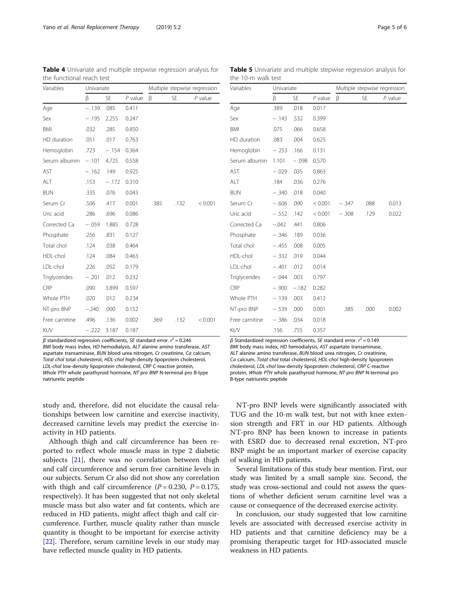$\beta$  standardized regression coefficients, SE standard error.  $r^2$  = 0.246 BMI body mass index, HD hemodialysis, ALT alanine amino transferase, AST aspartate transaminase, BUN blood urea nitrogen, Cr creatinine, Ca calcium, Total chol total cholesterol, HDL-chol high-density lipoprotein cholesterol, LDL-chol low-density lipoprotein cholesterol, CRP C-reactive protein, Whole PTH whole parathyroid hormone, NT-pro BNP N-terminal pro B-type natriuretic peptide

Free carnitine  $.496$   $.136$   $.0002$   $.369$   $.132$   $.60001$ 

study and, therefore, did not elucidate the causal relationships between low carnitine and exercise inactivity, decreased carnitine levels may predict the exercise inactivity in HD patients.

Although thigh and calf circumference has been reported to reflect whole muscle mass in type 2 diabetic subjects [[21\]](#page-5-0), there was no correlation between thigh and calf circumference and serum free carnitine levels in our subjects. Serum Cr also did not show any correlation with thigh and calf circumference  $(P = 0.230, P = 0.175,$ respectively). It has been suggested that not only skeletal muscle mass but also water and fat contents, which are reduced in HD patients, might affect thigh and calf circumference. Further, muscle quality rather than muscle quantity is thought to be important for exercise activity [[22\]](#page-5-0). Therefore, serum carnitine levels in our study may have reflected muscle quality in HD patients.

β Standardized regression coefficients, SE standard error.  $r^2 = 0.149$ BMI body mass index, HD hemodialysis, AST aspartate transaminase, ALT alanine amino transferase, BUN blood urea nitrogen, Cr creatinine, Ca calcium, Total chol total cholesterol, HDL-chol high-density lipoprotein cholesterol, LDL-chol low-density lipoprotein cholesterol, CRP C-reactive protein, Whole PTH whole parathyroid hormone, NT-pro BNP N-terminal pro B-type natriuretic peptide

NT-pro BNP levels were significantly associated with TUG and the 10-m walk test, but not with knee extension strength and FRT in our HD patients. Although NT-pro BNP has been known to increase in patients with ESRD due to decreased renal excretion, NT-pro BNP might be an important marker of exercise capacity of walking in HD patients.

Several limitations of this study bear mention. First, our study was limited by a small sample size. Second, the study was cross-sectional and could not assess the questions of whether deficient serum carnitine level was a cause or consequence of the decreased exercise activity.

In conclusion, our study suggested that low carnitine levels are associated with decreased exercise activity in HD patients and that carnitine deficiency may be a promising therapeutic target for HD-associated muscle weakness in HD patients.

Variables Univariate Multiple stepwise regression

β SE P value β SE P value

| Variables      | Univariate |           |           | Multiple stepwise regression |           |           |
|----------------|------------|-----------|-----------|------------------------------|-----------|-----------|
|                | β          | <b>SE</b> | $P$ value | β                            | <b>SE</b> | $P$ value |
| Age            | .389       | .018      | 0.017     |                              |           |           |
| Sex            | $-.143$    | .532      | 0.399     |                              |           |           |
| <b>BMI</b>     | .075       | .066      | 0.658     |                              |           |           |
| HD duration    | .083       | .004      | 0.625     |                              |           |           |
| Hemoglobin     | $-253$     | .166      | 0.131     |                              |           |           |
| Serum albumin  | 1.101      | $-.098$   | 0.570     |                              |           |           |
| AST            | $-.029$    | .035      | 0.863     |                              |           |           |
| ALT            | .184       | .036      | 0.276     |                              |           |           |
| <b>BUN</b>     | $-.340$    | .018      | 0.040     |                              |           |           |
| Serum Cr       | $-.606$    | .090      | < 0.001   | $-.347$                      | .088      | 0.013     |
| Uric acid      | $-.552$    | .142      | < 0.001   | $-.308$                      | .129      | 0.022     |
| Corrected Ca   | $-.042$    | .441      | 0.806     |                              |           |           |
| Phosphate      | $-.346$    | .189      | 0.036     |                              |           |           |
| Total chol     | $-.455$    | .008      | 0.005     |                              |           |           |
| HDL-chol       | $-.332$    | .019      | 0.044     |                              |           |           |
| LDL-chol       | $-.401$    | .012      | 0.014     |                              |           |           |
| Triglycerides  | $-.044$    | .003      | 0.797     |                              |           |           |
| CRP            | $-.900$    | $-.182$   | 0.282     |                              |           |           |
| Whole PTH      | $-.139$    | .003      | 0.412     |                              |           |           |
| NT-pro BNP     | $-.539$    | .000      | 0.001     | .385                         | .000      | 0.002     |
| Free carnitine | $-.386$    | .034      | 0.018     |                              |           |           |
| Kt/V           | .156       | .755      | 0.357     |                              |           |           |

Table 5 Univariate and multiple stepwise regression analysis for

the 10-m walk test

<span id="page-4-0"></span>Table 4 Univariate and multiple stepwise regression analysis for the functional reach test

Serum Cr .506 .417 0.001 .385 .132 < 0.001

Age − .139 .085 0.411 Sex − .195 2.255 0.247 RMI .032 .285 0.850 HD duration .051 .017 0.763 Hemoglobin .723 - .154 0.364 Serum albumin − .101 4.725 0.558  $\overline{AST}$  − 162 149 0.925 ALT .153 − 172 0.310 BUN .335 .076 0.043

Uric acid .286 .696 0.086 Corrected Ca − .059 1.885 0.728 Phosphate .256 .831 0.127 Total chol ... 124 ... 038 ... 0.464 HDL-chol .124 .084 0.463 LDL-chol .226 .052 0.179 Triglycerides − .201 .012 0.232 CRP .090 3.899 0.597 Whole PTH .020 .012 0.234 NT-pro BNP −.240 .000 0.152

Kt/V − .222 3.187 0.187